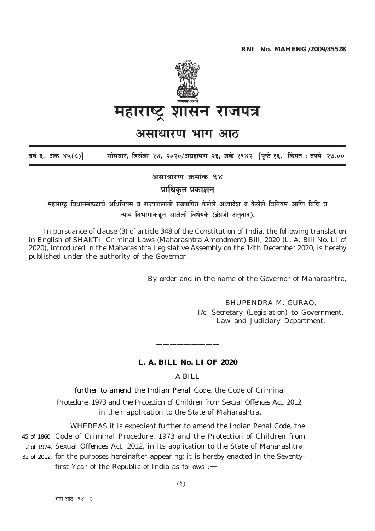

# असाधारण भाग आठ

सोमवार, डिसेंबर १४, २०२०/अग्रहायण २३, शके १९४२ पिष्ठे १६, किंमत : रुपये २७.०० वर्ष ६, अंक ४५(८)]

असाधारण क्रमांक ९४

प्राधिकृत प्रकाशन

महाराष्ट्र विधानमंडळाचे अधिनियम व राज्यपालांनी प्रख्यापित केलेले अध्यादेश व केलेले विनियम आणि विधि व न्याय विभागाकडून आलेली विधेयके (इंग्रजी अनवाद).

In pursuance of clause  $(3)$  of article 348 of the Constitution of India, the following translation in English of SHAKTI Criminal Laws (Maharashtra Amendment) Bill, 2020 (L. A. Bill No. LI of 2020), introduced in the Maharashtra Legislative Assembly on the 14th December 2020, is hereby published under the authority of the Governor.

By order and in the name of the Governor of Maharashtra,

BHUPENDRA M. GURAO. I/c. Secretary (Legislation) to Government, Law and Judiciary Department.

# L. A. BILL No. LI OF 2020

 $A$   $BII$ .

further to amend the Indian Penal Code, the Code of Criminal Procedure, 1973 and the Protection of Children from Sexual Offences Act, 2012, in their application to the State of Maharashtra.

WHEREAS it is expedient further to amend the Indian Penal Code, the 45 of 1860. Code of Criminal Procedure, 1973 and the Protection of Children from 2 of 1974. Sexual Offences Act, 2012, in its application to the State of Maharashtra, 32 of 2012. for the purposes hereinafter appearing; it is hereby enacted in the Seventyfirst Year of the Republic of India as follows : $-$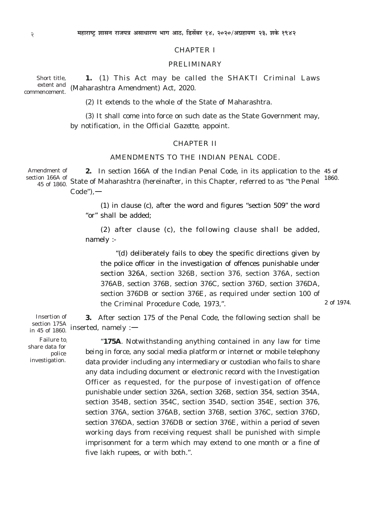#### CHAPTER I

#### PRELIMINARY

Short title, extent and commencement. **1.** (1) This Act may be called the *SHAKTI* Criminal Laws (Maharashtra Amendment) Act, 2020.

(2) It extends to the whole of the State of Maharashtra.

(3) It shall come into force on such date as the State Government may, by notification, in the *Official Gazette,* appoint.

### CHAPTER II

## AMENDMENTS TO THE INDIAN PENAL CODE.

**2.** In section 166A of the Indian Penal Code, in its application to the 45 of 1860. Amendment of section 166A of <sup>61</sup> 1967 of 1860. State of Maharashtra (hereinafter, in this Chapter, referred to as "the Penal  $Code")$ .

> *(1)* in clause (*c),* after the word and figures "section 509" the word "or" shall be added;

> *(2)* after clause *(c),* the following clause shall be added, namely :-

*"(d)* deliberately fails to obey the specific directions given by the police officer in the investigation of offences punishable under section 326A, section 326B, section 376, section 376A, section 376AB, section 376B, section 376C, section 376D, section 376DA, section 376DB or section 376E, as required under section 100 of the Criminal Procedure Code, 1973,".

2 of 1974.

Insertion of section 175A  $\frac{\text{section 175A}}{\text{in 45 of 1860}}$  inserted, namely :-**3.** After section 175 of the Penal Code, the following section shall be

Failure to. share data for police investigation.

"**175A**. Notwithstanding anything contained in any law for time being in force, any social media platform or internet or mobile telephony data provider including any intermediary or custodian who fails to share any data including document or electronic record with the Investigation Officer as requested, for the purpose of investigation of offence punishable under section 326A, section 326B, section 354, section 354A, section 354B, section 354C, section 354D, section 354E, section 376, section 376A, section 376AB, section 376B, section 376C, section 376D, section 376DA, section 376DB or section 376E, within a period of seven working days from receiving request shall be punished with simple imprisonment for a term which may extend to one month or a fine of five lakh rupees, or with both.".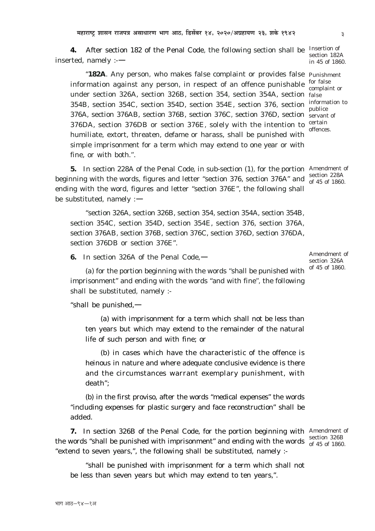भाग आठ-९४--१अ

**4.** After section 182 of the Penal Code, the following section shall be inserted, namely :-—

"**182A**. Any person, who makes false complaint or provides false Punishment information against any person, in respect of an offence punishable under section 326A, section 326B, section 354, section 354A, section false 354B, section 354C, section 354D, section 354E, section 376, section 376A, section 376AB, section 376B, section 376C, section 376D, section servant of 376DA, section 376DB or section 376E, solely with the intention to humiliate, extort, threaten, defame or harass, shall be punished with simple imprisonment for a term which may extend to one year or with fine, or with both.".

**5.** In section 228A of the Penal Code, in sub-section (*1*), for the portion Amendment of beginning with the words, figures and letter "section 376, section 376A" and ending with the word, figures and letter "section 376E", the following shall be substituted, namely :—

"section 326A, section 326B, section 354, section 354A, section 354B, section 354C, section 354D, section 354E, section 376, section 376A, section 376AB, section 376B, section 376C, section 376D, section 376DA, section 376DB or section 376E".

**6.** In section 326A of the Penal Code,—

*(a)* for the portion beginning with the words "shall be punished with imprisonment" and ending with the words "and with fine", the following shall be substituted, namely :-

"shall be punished,—

(*a*) with imprisonment for a term which shall not be less than ten years but which may extend to the remainder of the natural life of such person and with fine; or

(*b*) in cases which have the characteristic of the offence is heinous in nature and where adequate conclusive evidence is there and the circumstances warrant exemplary punishment, with death";

*(b)* in the first proviso, after the words "medical expenses" the words "including expenses for plastic surgery and face reconstruction" shall be added.

**7.** In section 326B of the Penal Code, for the portion beginning with Amendment of the words "shall be punished with imprisonment" and ending with the words  $\frac{\text{section } 326B}{\text{of } 45 \text{ of } 1860}$ "extend to seven years,", the following shall be substituted, namely : of 45 of 1860.

"shall be punished with imprisonment for a term which shall not be less than seven years but which may extend to ten years,".

Insertion of section 182A in 45 of 1860.

for false complaint or information to publice certain offences.

section 228A of 45 of 1860.

Amendment of section 326A of 45 of 1860.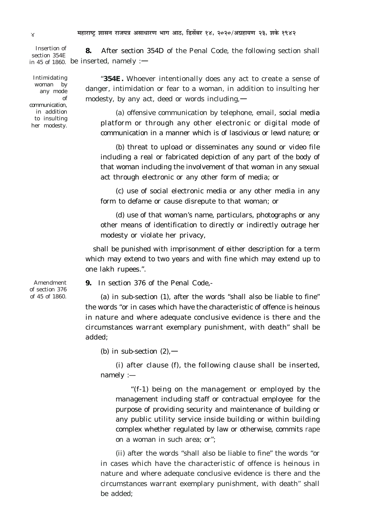**8.** After section 354D of the Penal Code, the following section shall in 45 of 1860. be inserted, namely : $-$ Insertion of section 354E

Intimidating woman by any mode of communication, in addition to insulting her modesty.

Amendment of section 376 of 45 of 1860.

"**354E.** Whoever intentionally does any act to create a sense of danger, intimidation or fear to a woman, in addition to insulting her modesty, by any act, deed or words including,—

*(a)* offensive communication by telephone, email, social media platform or through any other electronic or digital mode of communication in a manner which is of lascivious or lewd nature; or

*(b)* threat to upload or disseminates any sound or video file including a real or fabricated depiction of any part of the body of that woman including the involvement of that woman in any sexual act through electronic or any other form of media; or

*(c)* use of social electronic media or any other media in any form to defame or cause disrepute to that woman; or

*(d)* use of that woman's name, particulars, photographs or any other means of identification to directly or indirectly outrage her modesty or violate her privacy,

shall be punished with imprisonment of either description for a term which may extend to two years and with fine which may extend up to one lakh rupees.".

**9.** In section 376 of the Penal Code,-

*(a)* in sub-section (*1*), after the words "shall also be liable to fine" the words "or in cases which have the characteristic of offence is heinous in nature and where adequate conclusive evidence is there and the circumstances warrant exemplary punishment, with death" shall be added;

*(b)* in sub-section *(2)*,—

*(i)* after clause *(f),* the following clause shall be inserted, namely :—

"(*f*-*1*) being on the management or employed by the management including staff or contractual employee for the purpose of providing security and maintenance of building or any public utility service inside building or within building complex whether regulated by law or otherwise, commits rape on a woman in such area; or";

*(ii)* after the words "shall also be liable to fine" the words "or in cases which have the characteristic of offence is heinous in nature and where adequate conclusive evidence is there and the circumstances warrant exemplary punishment, with death" shall be added;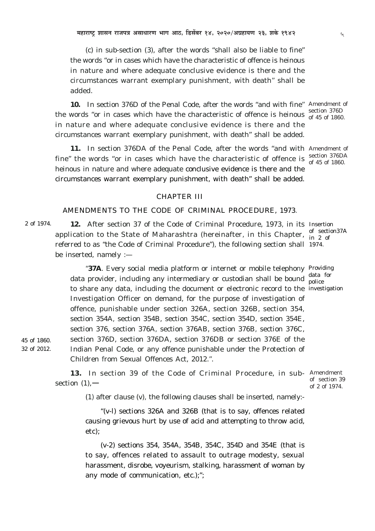(c) in sub-section  $(3)$ , after the words "shall also be liable to fine" the words "or in cases which have the characteristic of offence is heinous in nature and where adequate conclusive evidence is there and the circumstances warrant exemplary punishment, with death" shall be added.

10. In section 376D of the Penal Code, after the words "and with fine" Amendment of the words "or in cases which have the characteristic of offence is heinous  $\frac{\text{section 376D}}{\text{of 45 of 1860}}$ in nature and where adequate conclusive evidence is there and the circumstances warrant exemplary punishment, with death" shall be added.

11. In section 376DA of the Penal Code, after the words "and with Amendment of fine" the words "or in cases which have the characteristic of offence is  $\frac{\text{section }376DA}{\text{of }45.66.66}$ heinous in nature and where adequate conclusive evidence is there and the circumstances warrant exemplary punishment, with death" shall be added.

#### **CHAPTER III**

# AMENDMENTS TO THE CODE OF CRIMINAL PROCEDURE, 1973.

2 of 1974. 12. After section 37 of the Code of Criminal Procedure, 1973, in its Insertion application to the State of Maharashtra (hereinafter, in this Chapter, of section 37A referred to as "the Code of Criminal Procedure"), the following section shall 1974. be inserted, namely  $:$  —

> "37A. Every social media platform or internet or mobile telephony Providing data provider, including any intermediary or custodian shall be bound data for to share any data, including the document or electronic record to the investigation Investigation Officer on demand, for the purpose of investigation of offence, punishable under section 326A, section 326B, section 354, section 354A, section 354B, section 354C, section 354D, section 354E, section 376, section 376A, section 376AB, section 376B, section 376C, section 376D, section 376DA, section 376DB or section 376E of the Indian Penal Code, or any offence punishable under the Protection of Children from Sexual Offences Act, 2012.".

45 of 1860. 32 of 2012.

> 13. In section 39 of the Code of Criminal Procedure, in sub- Amendment section  $(1)$ , -

> > (1) after clause  $(v)$ , the following clauses shall be inserted, namely:-

" $(v-l)$  sections 326A and 326B (that is to say, offences related causing grievous hurt by use of acid and attempting to throw acid,  $etc):$ 

 $(v-2)$  sections 354, 354A, 354B, 354C, 354D and 354E (that is to say, offences related to assault to outrage modesty, sexual harassment, disrobe, voyeurism, stalking, harassment of woman by any mode of communication, etc.);";

 $\mathbf{u}$ 

of 45 of 1860.

of section 39 of 2 of 1974.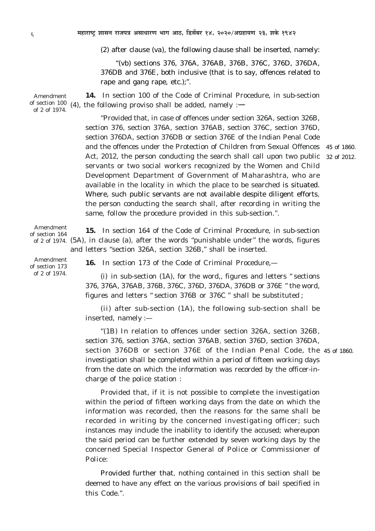*(2)* after clause *(va),* the following clause shall be inserted, namely:

*"(vb)* sections 376, 376A, 376AB, 376B, 376C, 376D, 376DA, 376DB and 376E, both inclusive (that is to say, offences related to rape and gang rape, etc.);".

**14.** In section 100 of the Code of Criminal Procedure, in sub-section (4), the following proviso shall be added, namely : $\rightarrow$ Amendment of section 100 of 2 of 1974.

> "Provided that, in case of offences under section 326A, section 326B, section 376, section 376A, section 376AB, section 376C, section 376D, section 376DA, section 376DB or section 376E of the Indian Penal Code and the offences under the Protection of Children from Sexual Offences 45 of 1860. Act, 2012, the person conducting the search shall call upon two public servants or two social workers recognized by the Women and Child Development Department of Government of Maharashtra, who are available in the locality in which the place to be searched is situated. Where, such public servants are not available despite diligent efforts, the person conducting the search shall, after recording in writing the same, follow the procedure provided in this sub-section.".

**15.** In section 164 of the Code of Criminal Procedure, in sub-section of 2 of 1974. *(5A),* in clause *(a),* after the words "punishable under" the words, figures and letters "section 326A, section 326B," shall be inserted. Amendment of section 164

Amendment of section 173 of 2 of 1974.

**16.** In section 173 of the Code of Criminal Procedure,—

(*i*) in sub-section (*1A*), for the word,, figures and letters " sections 376, 376A, 376AB, 376B, 376C, 376D, 376DA, 376DB or 376E " the word, figures and letters " section 376B or 376C " shall be substituted ;

(*ii*) after sub-section (*1A*), the following sub-section shall be inserted, namely :—

*"(1B)* In relation to offences under section 326A, section 326B, section 376, section 376A, section 376AB, section 376D, section 376DA, section 376DB or section 376E of the Indian Penal Code, the 45 of 1860.investigation shall be completed within a period of fifteen working days from the date on which the information was recorded by the officer-incharge of the police station :

Provided that, if it is not possible to complete the investigation within the period of fifteen working days from the date on which the information was recorded, then the reasons for the same shall be recorded in writing by the concerned investigating officer; such instances may include the inability to identify the accused; whereupon the said period can be further extended by seven working days by the concerned Special Inspector General of Police or Commissioner of Police:

Provided further that, nothing contained in this section shall be deemed to have any effect on the various provisions of bail specified in this Code.".

32 of 2012.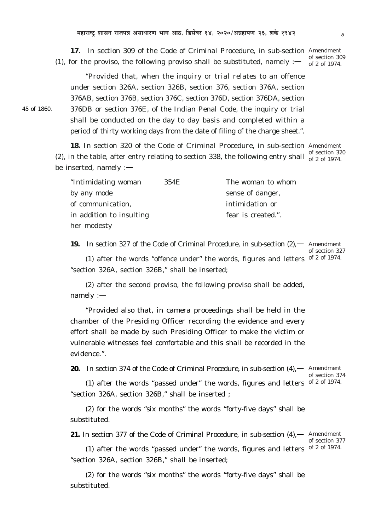**17.** In section 309 of the Code of Criminal Procedure, in sub-section Amendment ( $1$ ), for the proviso, the following proviso shall be substituted, namely : $$ of section 309 of 2 of 1974.

"Provided that, when the inquiry or trial relates to an offence under section 326A, section 326B, section 376, section 376A, section 376AB, section 376B, section 376C, section 376D, section 376DA, section 376DB or section 376E, of the Indian Penal Code, the inquiry or trial shall be conducted on the day to day basis and completed within a period of thirty working days from the date of filing of the charge sheet.".

**18.** In section 320 of the Code of Criminal Procedure, in sub-section Amendment (2), in the table, after entry relating to section 338, the following entry shall of 2 of 1974 be inserted, namely : of 2 of 1974.

| "Intimidating woman      | 354E | The woman to whom  |
|--------------------------|------|--------------------|
| by any mode              |      | sense of danger,   |
| of communication,        |      | intimidation or    |
| in addition to insulting |      | fear is created.". |
| her modesty              |      |                    |

19. In section 327 of the Code of Criminal Procedure, in sub-section  $(2)$ ,  $-$  Amendment ( $1$ ) after the words "offence under" the words, figures and letters of  $2$  of 1974. "section 326A, section 326B," shall be inserted;

of section 327

(*2*) after the second proviso, the following proviso shall be added, namely :—

"Provided also that, *in camera* proceedings shall be held in the chamber of the Presiding Officer recording the evidence and every effort shall be made by such Presiding Officer to make the victim or vulnerable witnesses feel comfortable and this shall be recorded in the evidence.".

**20.** In section 374 of the Code of Criminal Procedure, in sub-section (*4*),— Amendment

of section 374

( $1$ ) after the words "passed under" the words, figures and letters of  $2$  of 1974. "section 326A, section 326B," shall be inserted ;

(*2*) for the words "six months" the words "forty-five days" shall be substituted.

21. In section 377 of the Code of Criminal Procedure, in sub-section (4),  $-$  Amendment

of section 377

(1) after the words "passed under" the words, figures and letters of  $2$  of 1974. "section 326A, section 326B," shall be inserted;

(*2*) for the words "six months" the words "forty-five days" shall be substituted.

45 of 1860.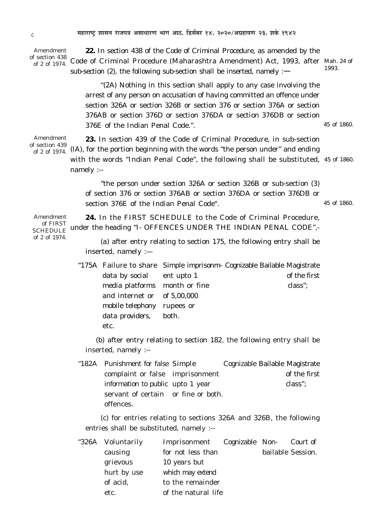Amendment of section 438 of 2 of 1974.

22. In section 438 of the Code of Criminal Procedure, as amended by the Code of Criminal Procedure (Maharashtra Amendment) Act, 1993, after Mah. 24 of 1993 sub-section (2), the following sub-section shall be inserted, namely :—

"(2A) Nothing in this section shall apply to any case involving the arrest of any person on accusation of having committed an offence under section 326A or section 326B or section 376 or section 376A or section 376AB or section 376D or section 376DA or section 376DB or section 376E of the Indian Penal Code.". 45 of 1860.

Amendment 23. In section 439 of the Code of Criminal Procedure, in sub-section of section 439 of 2 of 1974. (IA), for the portion beginning with the words "the person under" and ending with the words "Indian Penal Code", the following shall be substituted, 45 of 1860. namely :--

> "the person under section 326A or section 326B or sub-section (3) of section 376 or section 376AB or section 376DA or section 376DB or section 376E of the Indian Penal Code". 45 of 1860.

24. In the FIRST SCHEDULE to the Code of Criminal Procedure. Amendment of FIRST SCHEDULE under the heading "I- OFFENCES UNDER THE INDIAN PENAL CODE",of 2 of 1974.

(a) after entry relating to section 175, the following entry shall be inserted, namely :-

"175A Failure to share Simple imprisonm- Cognizable Bailable Magistrate data by social ent upto 1 of the first media platforms month or fine class": and internet or of 5,00,000 mobile telephony rupees or both. data providers, etc.

(b) after entry relating to section 182, the following entry shall be inserted, namely :--

"182A Punishment for false Simple Cognizable Bailable Magistrate complaint or false imprisonment of the first information to public upto 1 year class": servant of certain or fine or both. offences.

 $(c)$  for entries relating to sections 326A and 326B, the following entries shall be substituted, namely :--

| "326A Voluntarily | Imprisonment        | Cognizable Non- Court of |                   |
|-------------------|---------------------|--------------------------|-------------------|
| causing           | for not less than   |                          | bailable Session. |
| grievous          | 10 years but        |                          |                   |
| hurt by use       | which may extend    |                          |                   |
| of acid,          | to the remainder    |                          |                   |
| etc.              | of the natural life |                          |                   |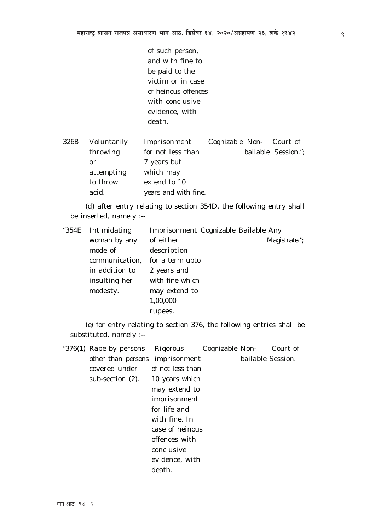of such person, and with fine to be paid to the victim or in case of heinous offences with conclusive evidence, with death.

| 326B | Voluntarily | Imprisonment         | Cognizable Non- Court of |                     |
|------|-------------|----------------------|--------------------------|---------------------|
|      | throwing    | for not less than    |                          | bailable Session."; |
|      | or          | 7 years but          |                          |                     |
|      | attempting  | which may            |                          |                     |
|      | to throw    | extend to 10         |                          |                     |
|      | acid.       | years and with fine. |                          |                     |

 $(d)$  after entry relating to section 354D, the following entry shall be inserted, namely :--

| "354E Intimidating | Imprisonment Cognizable Bailable Any |               |
|--------------------|--------------------------------------|---------------|
| woman by any       | of either                            | Magistrate."; |
| mode of            | description                          |               |
| communication,     | for a term upto                      |               |
| in addition to     | 2 years and                          |               |
| insulting her      | with fine which                      |               |
| modesty.           | may extend to                        |               |
|                    | 1,00,000                             |               |
|                    | rupees.                              |               |

 $(e)$  for entry relating to section 376, the following entries shall be substituted, namely :--

| "376 $(I)$ Rape by persons      | Rigorous Cognizable Non- Court of |                   |  |
|---------------------------------|-----------------------------------|-------------------|--|
| other than persons imprisonment |                                   | bailable Session. |  |
| covered under of not less than  |                                   |                   |  |
| sub-section $(2)$ .             | 10 years which                    |                   |  |
|                                 | may extend to                     |                   |  |
|                                 | imprisonment                      |                   |  |
|                                 | for life and                      |                   |  |
|                                 | with fine. In                     |                   |  |
|                                 | case of heinous                   |                   |  |
|                                 | offences with                     |                   |  |
|                                 | conclusive                        |                   |  |
|                                 | evidence, with                    |                   |  |
|                                 | death.                            |                   |  |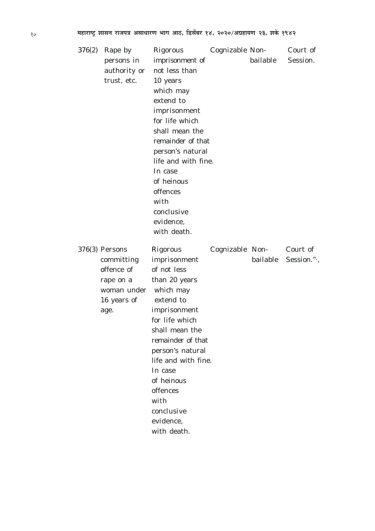| 376(2) | Rape by          | Rigorous            | Cognizable Non- |          | Court of   |
|--------|------------------|---------------------|-----------------|----------|------------|
|        | persons in       | imprisonment of     |                 | bailable | Session.   |
|        | authority or     | not less than       |                 |          |            |
|        | trust, etc.      | 10 years            |                 |          |            |
|        |                  | which may           |                 |          |            |
|        |                  | extend to           |                 |          |            |
|        |                  | imprisonment        |                 |          |            |
|        |                  | for life which      |                 |          |            |
|        |                  | shall mean the      |                 |          |            |
|        |                  | remainder of that   |                 |          |            |
|        |                  | person's natural    |                 |          |            |
|        |                  | life and with fine. |                 |          |            |
|        |                  | In case             |                 |          |            |
|        |                  | of heinous          |                 |          |            |
|        |                  | offences            |                 |          |            |
|        |                  | with                |                 |          |            |
|        |                  | conclusive          |                 |          |            |
|        |                  | evidence,           |                 |          |            |
|        |                  | with death.         |                 |          |            |
|        |                  |                     |                 |          |            |
|        | $376(3)$ Persons | Rigorous            | Cognizable Non- |          | Court of   |
|        |                  |                     |                 |          |            |
|        | committing       | imprisonment        |                 | bailable | Session.". |
|        | offence of       | of not less         |                 |          |            |
|        | rape on a        | than 20 years       |                 |          |            |
|        | woman under      | which may           |                 |          |            |
|        | 16 years of      | extend to           |                 |          |            |
|        | age.             | imprisonment        |                 |          |            |
|        |                  | for life which      |                 |          |            |
|        |                  | shall mean the      |                 |          |            |
|        |                  | remainder of that   |                 |          |            |
|        |                  | person's natural    |                 |          |            |
|        |                  | life and with fine. |                 |          |            |
|        |                  | In case             |                 |          |            |
|        |                  | of heinous          |                 |          |            |
|        |                  | offences            |                 |          |            |
|        |                  | with                |                 |          |            |
|        |                  | conclusive          |                 |          |            |
|        |                  | evidence,           |                 |          |            |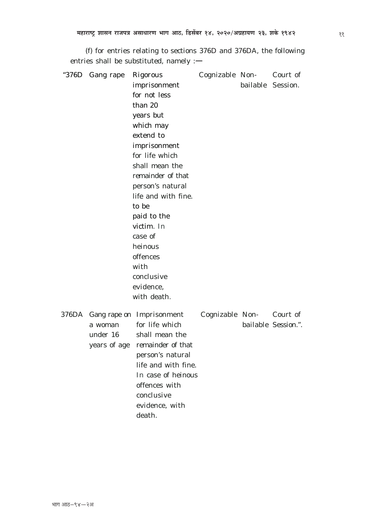$(f)$  for entries relating to sections 376D and 376DA, the following entries shall be substituted, namely :-

| "376D | Gang rape | Rigorous                       | Cognizable Non-          |                   | Court of            |
|-------|-----------|--------------------------------|--------------------------|-------------------|---------------------|
|       |           | imprisonment                   |                          | bailable Session. |                     |
|       |           | for not less                   |                          |                   |                     |
|       |           | than 20                        |                          |                   |                     |
|       |           | years but                      |                          |                   |                     |
|       |           | which may                      |                          |                   |                     |
|       |           | extend to                      |                          |                   |                     |
|       |           | imprisonment                   |                          |                   |                     |
|       |           | for life which                 |                          |                   |                     |
|       |           | shall mean the                 |                          |                   |                     |
|       |           | remainder of that              |                          |                   |                     |
|       |           | person's natural               |                          |                   |                     |
|       |           | life and with fine.            |                          |                   |                     |
|       |           | to be                          |                          |                   |                     |
|       |           | paid to the                    |                          |                   |                     |
|       |           | victim. In                     |                          |                   |                     |
|       |           | case of                        |                          |                   |                     |
|       |           | heinous                        |                          |                   |                     |
|       |           | offences                       |                          |                   |                     |
|       |           | with                           |                          |                   |                     |
|       |           | conclusive                     |                          |                   |                     |
|       |           | evidence,                      |                          |                   |                     |
|       |           | with death.                    |                          |                   |                     |
| 376DA |           | Gang rape on Imprisonment      | Cognizable Non- Court of |                   |                     |
|       | a woman   | for life which                 |                          |                   | bailable Session.". |
|       | under 16  | shall mean the                 |                          |                   |                     |
|       |           | years of age remainder of that |                          |                   |                     |
|       |           | person's natural               |                          |                   |                     |
|       |           | life and with fine.            |                          |                   |                     |
|       |           | In case of heinous             |                          |                   |                     |
|       |           | offences with                  |                          |                   |                     |
|       |           | conclusive                     |                          |                   |                     |
|       |           | evidence, with                 |                          |                   |                     |
|       |           | death.                         |                          |                   |                     |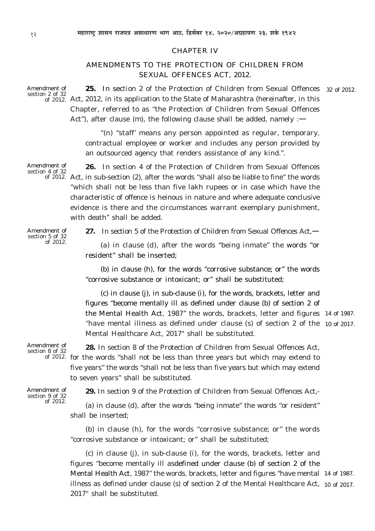# CHAPTER IV

# AMENDMENTS TO THE PROTECTION OF CHILDREN FROM SEXUAL OFFENCES ACT, 2012.

**25.** In section 2 of the Protection of Children from Sexual Offences 32 of 2012. of 2012. Act, 2012, in its application to the State of Maharashtra (hereinafter, in this Chapter, referred to as "the Protection of Children from Sexual Offences Act"), after clause  $(m)$ , the following clause shall be added, namely : $\rightarrow$ 

> *"(n)* "staff' means any person appointed as regular, temporary, contractual employee or worker and includes any person provided by an outsourced agency that renders assistance of any kind.".

**26.** In section 4 of the Protection of Children from Sexual Offences Act, in sub-section (*2*), after the words "shall also be liable to fine" the words of 2012. "which shall not be less than five lakh rupees or in case which have the characteristic of offence is heinous in nature and where adequate conclusive evidence is there and the circumstances warrant exemplary punishment, with death" shall be added.

Amendment of section 5 of 32 of 2012.

Amendment of section 4 of 32

**27.** In section 5 of the Protection of Children from Sexual Offences Act,—

*(a)* in clause *(d),* after the words "being inmate" the words "or resident" shall be inserted;

*(b)* in clause *(h),* for the words "corrosive substance; or" the words "corrosive substance or intoxicant; or" shall be substituted;

(*c*) in clause *(j),* in sub-clause (*i*), for the words, brackets, letter and figures "become mentally ill as defined under clause *(b)* of section 2 of the Mental Health Act, 1987" the words, brackets, letter and figures 14 of 1987. "have mental illness as defined under clause *(s)* of section 2 of the 10 of 2017. Mental Healthcare Act, 2017" shall be substituted.

Amendment of section 8 of 32

**28.** In section 8 of the Protection of Children from Sexual Offences Act, of 2012. for the words "shall not be less than three years but which may extend to five years" the words "shall not be less than five years but which may extend to seven years" shall be substituted.

Amendment of section 9 of 32 of 2012.

**29.** In section 9 of the Protection of Children from Sexual Offences Act,-

*(a)* in clause *(d),* after the words "being inmate" the words "or resident" shall be inserted;

*(b)* in clause *(h),* for the words "corrosive substance; or" the words "corrosive substance or intoxicant; or" shall be substituted;

*(c)* in clause *(j),* in sub-clause (*i*), for the words, brackets, letter and figures "become mentally ill asdefined under clause *(b)* of section 2 of the Mental Health Act, 1987" the words, brackets, letter and figures "have mental 14 of 1987. illness as defined under clause *(s)* of section 2 of the Mental Healthcare Act, 10 of 2017.2017" shall be substituted.

Amendment of section 2 of 32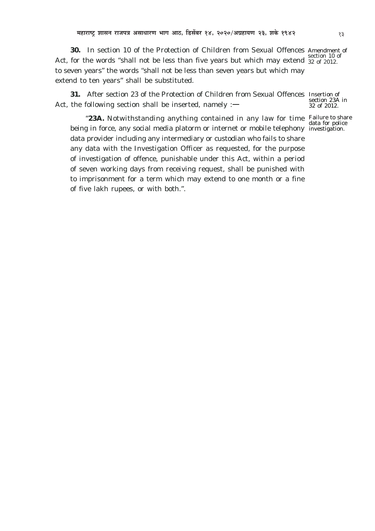**30.** In section 10 of the Protection of Children from Sexual Offences Amendment of Act, for the words "shall not be less than five years but which may extend  $\frac{32}{32}$  of 2012. to seven years" the words "shall not be less than seven years but which may extend to ten years" shall be substituted. 32 of 2012.

**31.** After section 23 of the Protection of Children from Sexual Offences Insertion of Act, the following section shall be inserted, namely  $:$   $-$ 

**23A.** Notwithstanding anything contained in any law for time Failure to share being in force, any social media platorm or internet or mobile telephony investigation.data provider including any intermediary or custodian who fails to share any data with the Investigation Officer as requested, for the purpose of investigation of offence, punishable under this Act, within a period of seven working days from receiving request, shall be punished with to imprisonment for a term which may extend to one month or a fine of five lakh rupees, or with both.".

section 23A in 32 of 2012.

data for police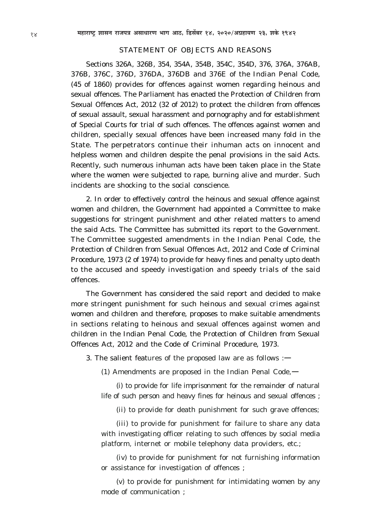# STATEMENT OF OBJECTS AND REASONS

Sections 326A, 326B, 354, 354A, 354B, 354C, 354D, 376, 376A, 376AB, 376B, 376C, 376D, 376DA, 376DB and 376E of the Indian Penal Code, (45 of 1860) provides for offences against women regarding heinous and sexual offences. The Parliament has enacted the Protection of Children from Sexual Offences Act, 2012 (32 of 2012) to protect the children from offences of sexual assault, sexual harassment and pornography and for establishment of Special Courts for trial of such offences. The offences against women and children, specially sexual offences have been increased many fold in the State. The perpetrators continue their inhuman acts on innocent and helpless women and children despite the penal provisions in the said Acts. Recently, such numerous inhuman acts have been taken place in the State where the women were subjected to rape, burning alive and murder. Such incidents are shocking to the social conscience.

2. In order to effectively control the heinous and sexual offence against women and children, the Government had appointed a Committee to make suggestions for stringent punishment and other related matters to amend the said Acts. The Committee has submitted its report to the Government. The Committee suggested amendments in the Indian Penal Code, the Protection of Children from Sexual Offences Act, 2012 and Code of Criminal Procedure, 1973 (2 of 1974) to provide for heavy fines and penalty upto death to the accused and speedy investigation and speedy trials of the said offences.

The Government has considered the said report and decided to make more stringent punishment for such heinous and sexual crimes against women and children and therefore, proposes to make suitable amendments in sections relating to heinous and sexual offences against women and children in the Indian Penal Code, the Protection of Children from Sexual Offences Act, 2012 and the Code of Criminal Procedure, 1973.

3. The salient features of the proposed law are as follows :—

(1) Amendments are proposed in the Indian Penal Code,  $\rightarrow$ 

*(i)* to provide for life imprisonment for the remainder of natural life of such person and heavy fines for heinous and sexual offences ;

*(ii)* to provide for death punishment for such grave offences;

*(iii)* to provide for punishment for failure to share any data with investigating officer relating to such offences by social media platform, internet or mobile telephony data providers, etc.;

*(iv)* to provide for punishment for not furnishing information or assistance for investigation of offences ;

*(v)* to provide for punishment for intimidating women by any mode of communication ;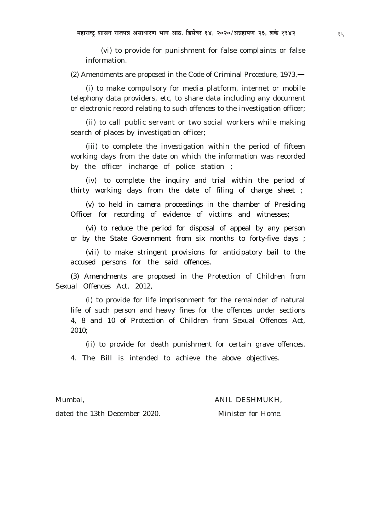*(vi)* to provide for punishment for false complaints or false information.

(2) Amendments are proposed in the Code of Criminal Procedure, 1973,—

*(i)* to make compulsory for media platform, internet or mobile telephony data providers, etc, to share data including any document or electronic record relating to such offences to the investigation officer;

*(ii)* to call public servant or two social workers while making search of places by investigation officer;

*(iii)* to complete the investigation within the period of fifteen working days from the date on which the information was recorded by the officer incharge of police station ;

*(iv)* to complete the inquiry and trial within the period of thirty working days from the date of filing of charge sheet ;

*(v)* to held *in camera* proceedings in the chamber of Presiding Officer for recording of evidence of victims and witnesses;

*(vi)* to reduce the period for disposal of appeal by any person or by the State Government from six months to forty-five days ;

*(vii)* to make stringent provisions for anticipatory bail to the accused persons for the said offences.

(3) Amendments are proposed in the Protection of Children from Sexual Offences Act, 2012,

*(i)* to provide for life imprisonment for the remainder of natural life of such person and heavy fines for the offences under sections 4, 8 and 10 of Protection of Children from Sexual Offences Act, 2010;

*(ii)* to provide for death punishment for certain grave offences.

4. The Bill is intended to achieve the above objectives.

Mumbai, ANIL DESHMUKH,

dated the 13th December 2020. Minister for Home.